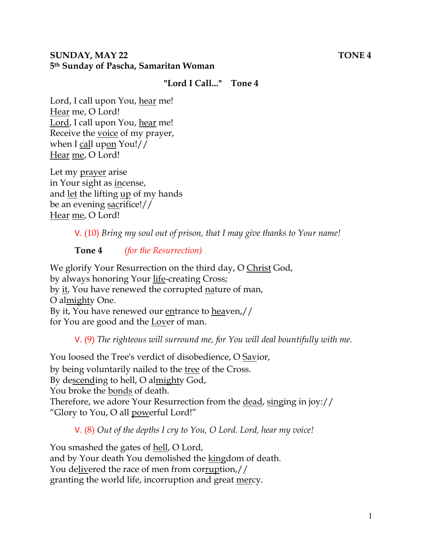#### **SUNDAY, MAY 22** TONE 4 **5th Sunday of Pascha, Samaritan Woman**

#### **"Lord I Call..." Tone 4**

Lord, I call upon You, hear me! Hear me, O Lord! Lord, I call upon You, hear me! Receive the voice of my prayer, when I call upon You!// Hear me, O Lord!

Let my prayer arise in Your sight as incense, and let the lifting up of my hands be an evening sacrifice!// Hear me, O Lord!

V. (10) *Bring my soul out of prison, that I may give thanks to Your name!* 

#### **Tone 4** *(for the Resurrection)*

We glorify Your Resurrection on the third day, O Christ God, by always honoring Your life-creating Cross; by it, You have renewed the corrupted nature of man, O almighty One. By it, You have renewed our entrance to heaven,// for You are good and the Lover of man.

V. (9) *The righteous will surround me, for You will deal bountifully with me.* 

You loosed the Tree's verdict of disobedience, O Savior, by being voluntarily nailed to the tree of the Cross. By descending to hell, O almighty God, You broke the bonds of death. Therefore, we adore Your Resurrection from the dead, singing in joy:// "Glory to You, O all powerful Lord!"

V. (8) *Out of the depths I cry to You, O Lord. Lord, hear my voice!* 

You smashed the gates of hell, O Lord, and by Your death You demolished the kingdom of death. You delivered the race of men from corruption,// granting the world life, incorruption and great mercy.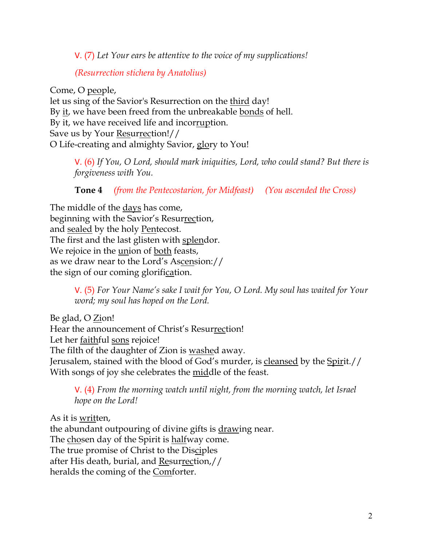V. (7) *Let Your ears be attentive to the voice of my supplications!*

*(Resurrection stichera by Anatolius)*

Come, O people, let us sing of the Savior's Resurrection on the third day! By it, we have been freed from the unbreakable bonds of hell. By it, we have received life and incorruption. Save us by Your Resurrection!// O Life-creating and almighty Savior, glory to You!

V. (6) *If You, O Lord, should mark iniquities, Lord, who could stand? But there is forgiveness with You.* 

**Tone 4** *(from the Pentecostarion, for Midfeast) (You ascended the Cross)*

The middle of the days has come, beginning with the Savior's Resurrection, and sealed by the holy Pentecost. The first and the last glisten with splendor. We rejoice in the <u>un</u>ion of both feasts, as we draw near to the Lord's Ascension:// the sign of our coming glorification.

> V. (5) *For Your Name's sake I wait for You, O Lord. My soul has waited for Your word; my soul has hoped on the Lord.*

Be glad, O Zion! Hear the announcement of Christ's Resurrection! Let her faithful sons rejoice! The filth of the daughter of Zion is washed away. Jerusalem, stained with the blood of God's murder, is cleansed by the Spirit.// With songs of joy she celebrates the middle of the feast.

V. (4) *From the morning watch until night, from the morning watch, let Israel hope on the Lord!* 

As it is written, the abundant outpouring of divine gifts is drawing near. The chosen day of the Spirit is halfway come. The true promise of Christ to the Disciples after His death, burial, and Resurrection,// heralds the coming of the Comforter.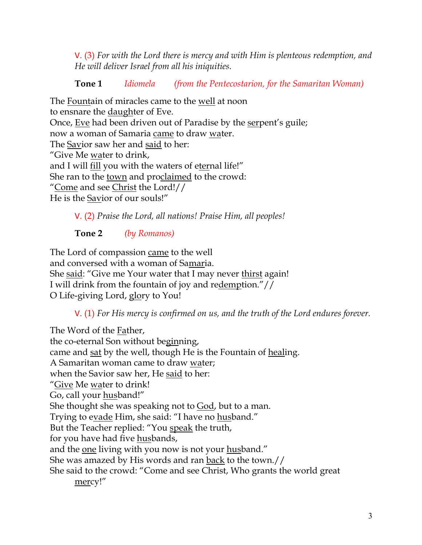V. (3) *For with the Lord there is mercy and with Him is plenteous redemption, and He will deliver Israel from all his iniquities.*

# **Tone 1** *Idiomela (from the Pentecostarion, for the Samaritan Woman)*

The Fountain of miracles came to the well at noon to ensnare the daughter of Eve. Once, Eve had been driven out of Paradise by the serpent's guile; now a woman of Samaria came to draw water. The Savior saw her and said to her: "Give Me water to drink, and I will fill you with the waters of eternal life!" She ran to the town and proclaimed to the crowd: "Come and see Christ the Lord!// He is the Savior of our souls!"

V. (2) *Praise the Lord, all nations! Praise Him, all peoples!*

**Tone 2** *(by Romanos)*

The Lord of compassion came to the well and conversed with a woman of Samaria. She said: "Give me Your water that I may never thirst again! I will drink from the fountain of joy and redemption."// O Life-giving Lord, glory to You!

V. (1) *For His mercy is confirmed on us, and the truth of the Lord endures forever.* 

The Word of the Father, the co-eternal Son without beginning, came and sat by the well, though He is the Fountain of healing. A Samaritan woman came to draw water; when the Savior saw her, He said to her: "Give Me water to drink! Go, call your husband!" She thought she was speaking not to God, but to a man. Trying to evade Him, she said: "I have no husband." But the Teacher replied: "You speak the truth, for you have had five husbands, and the one living with you now is not your husband." She was amazed by His words and ran back to the town.// She said to the crowd: "Come and see Christ, Who grants the world great mercy!"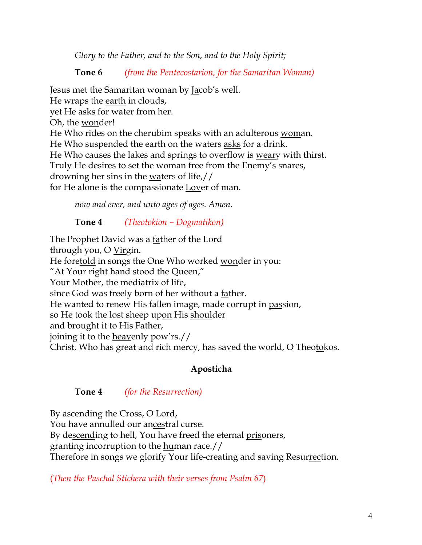*Glory to the Father, and to the Son, and to the Holy Spirit;*

**Tone 6** *(from the Pentecostarion, for the Samaritan Woman)*

Jesus met the Samaritan woman by Jacob's well. He wraps the earth in clouds, yet He asks for water from her. Oh, the wonder! He Who rides on the cherubim speaks with an adulterous woman. He Who suspended the earth on the waters asks for a drink. He Who causes the lakes and springs to overflow is weary with thirst. Truly He desires to set the woman free from the **Enemy's snares**, drowning her sins in the waters of life,// for He alone is the compassionate Lover of man.

*now and ever, and unto ages of ages. Amen.* 

## **Tone 4** *(Theotokion – Dogmatikon)*

The Prophet David was a father of the Lord through you, O Virgin. He foretold in songs the One Who worked wonder in you: "At Your right hand stood the Queen," Your Mother, the mediatrix of life, since God was freely born of her without a father. He wanted to renew His fallen image, made corrupt in passion, so He took the lost sheep upon His shoulder and brought it to His Father, joining it to the heavenly pow'rs.// Christ, Who has great and rich mercy, has saved the world, O Theotokos.

## **Aposticha**

#### **Tone 4** *(for the Resurrection)*

By ascending the Cross, O Lord, You have annulled our ancestral curse. By descending to hell, You have freed the eternal prisoners, granting incorruption to the human race.// Therefore in songs we glorify Your life-creating and saving Resurrection.

(*Then the Paschal Stichera with their verses from Psalm 67*)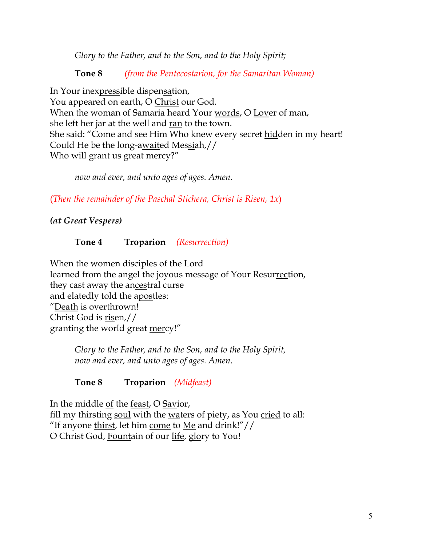*Glory to the Father, and to the Son, and to the Holy Spirit;*

**Tone 8** *(from the Pentecostarion, for the Samaritan Woman)*

In Your inexpressible dispensation, You appeared on earth, O Christ our God. When the woman of Samaria heard Your words, O Lover of man, she left her jar at the well and ran to the town. She said: "Come and see Him Who knew every secret hidden in my heart! Could He be the long-awaited Messiah,// Who will grant us great mercy?"

*now and ever, and unto ages of ages. Amen.*

(*Then the remainder of the Paschal Stichera, Christ is Risen, 1x*)

*(at Great Vespers)*

#### **Tone 4 Troparion** *(Resurrection)*

When the women disciples of the Lord learned from the angel the joyous message of Your Resurrection, they cast away the ancestral curse and elatedly told the apostles: "Death is overthrown! Christ God is risen,// granting the world great mercy!"

*Glory to the Father, and to the Son, and to the Holy Spirit, now and ever, and unto ages of ages. Amen.*

## **Tone 8 Troparion** *(Midfeast)*

In the middle of the feast, O Savior, fill my thirsting soul with the waters of piety, as You cried to all: "If anyone thirst, let him come to Me and drink!"// O Christ God, Fountain of our life, glory to You!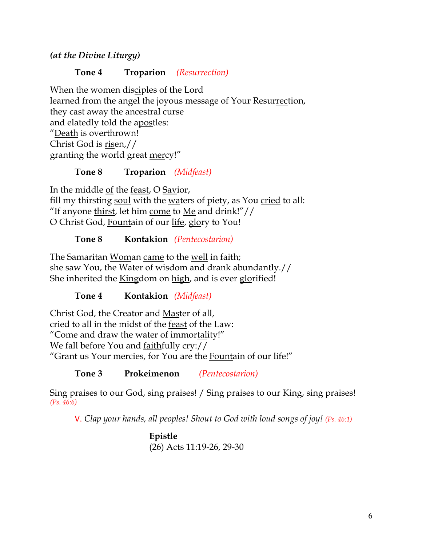*(at the Divine Liturgy)*

## **Tone 4 Troparion** *(Resurrection)*

When the women disciples of the Lord learned from the angel the joyous message of Your Resurrection, they cast away the ancestral curse and elatedly told the apostles: "Death is overthrown! Christ God is risen,// granting the world great mercy!"

## **Tone 8 Troparion** *(Midfeast)*

In the middle of the feast, O Savior, fill my thirsting soul with the waters of piety, as You cried to all: "If anyone thirst, let him come to Me and drink!" $\frac{1}{\sqrt{2}}$ O Christ God, Fountain of our life, glory to You!

## **Tone 8 Kontakion** *(Pentecostarion)*

The Samaritan Woman came to the well in faith; she saw You, the Water of wisdom and drank abundantly.// She inherited the Kingdom on high, and is ever glorified!

**Tone 4 Kontakion** *(Midfeast)*

Christ God, the Creator and Master of all, cried to all in the midst of the feast of the Law: "Come and draw the water of immortality!" We fall before You and faithfully cry:// "Grant us Your mercies, for You are the Fountain of our life!"

**Tone 3 Prokeimenon** *(Pentecostarion)*

Sing praises to our God, sing praises! / Sing praises to our King, sing praises! *(Ps. 46:6)*

V. *Clap your hands, all peoples! Shout to God with loud songs of joy! (Ps. 46:1)*

**Epistle** (26) Acts 11:19-26, 29-30